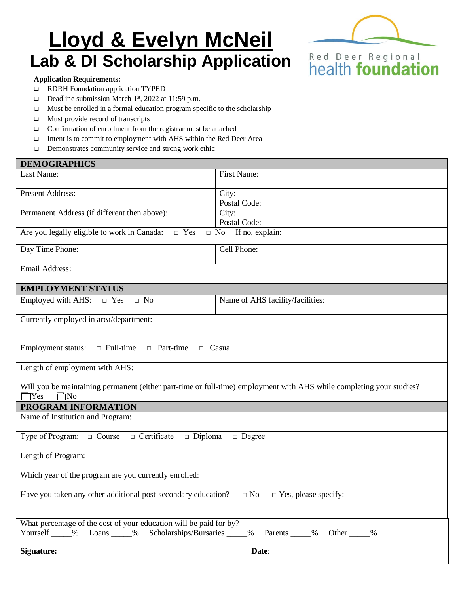# **Lloyd & Evelyn McNeil Lab & DI Scholarship Application**



#### **Application Requirements:**

- RDRH Foundation application TYPED
- Deadline submission March 1<sup>st</sup>, 2022 at 11:59 p.m.
- $\Box$  Must be enrolled in a formal education program specific to the scholarship
- **I** Must provide record of transcripts
- Confirmation of enrollment from the registrar must be attached
- Intent is to commit to employment with AHS within the Red Deer Area
- □ Demonstrates community service and strong work ethic

| <b>DEMOGRAPHICS</b>                                                                                                                                               |                                  |  |
|-------------------------------------------------------------------------------------------------------------------------------------------------------------------|----------------------------------|--|
| Last Name:                                                                                                                                                        | First Name:                      |  |
| <b>Present Address:</b>                                                                                                                                           | City:<br>Postal Code:            |  |
| Permanent Address (if different then above):                                                                                                                      | City:<br>Postal Code:            |  |
| Are you legally eligible to work in Canada: $\square$ Yes<br>$\Box$ No If no, explain:                                                                            |                                  |  |
| Day Time Phone:                                                                                                                                                   | Cell Phone:                      |  |
| Email Address:                                                                                                                                                    |                                  |  |
| <b>EMPLOYMENT STATUS</b>                                                                                                                                          |                                  |  |
| Employed with AHS: $\Box$ Yes<br>$\Box$ No                                                                                                                        | Name of AHS facility/facilities: |  |
| Currently employed in area/department:                                                                                                                            |                                  |  |
| <b>Employment status:</b><br>$\Box$ Full-time<br>□ Part-time<br>$\Box$ Casual                                                                                     |                                  |  |
| Length of employment with AHS:                                                                                                                                    |                                  |  |
| Will you be maintaining permanent (either part-time or full-time) employment with AHS while completing your studies?<br>$\Box$ Yes<br>$\Box$ No                   |                                  |  |
| PROGRAM INFORMATION                                                                                                                                               |                                  |  |
| Name of Institution and Program:                                                                                                                                  |                                  |  |
| Type of Program: $\Box$ Course $\Box$ Certificate $\Box$ Diploma<br>$\Box$ Degree                                                                                 |                                  |  |
| Length of Program:                                                                                                                                                |                                  |  |
| Which year of the program are you currently enrolled:                                                                                                             |                                  |  |
| Have you taken any other additional post-secondary education? $\Box$ No $\Box$ Yes, please specify:                                                               |                                  |  |
| What percentage of the cost of your education will be paid for by?<br>Yourself _____% Loans _____% Scholarships/Bursaries _____<br>_% Parents _____% Other _____% |                                  |  |
| <b>Signature:</b>                                                                                                                                                 | Date:                            |  |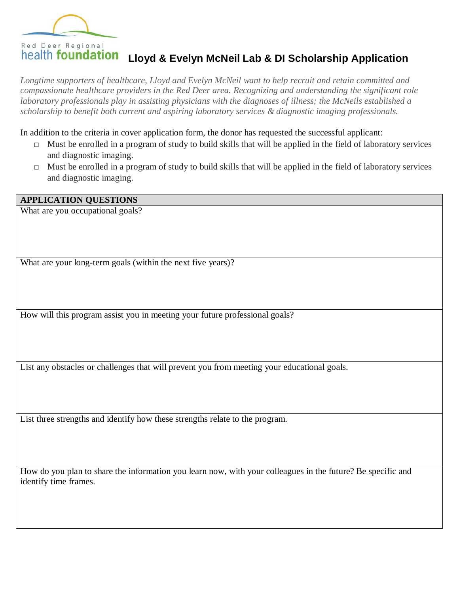

## **Lloyd & Evelyn McNeil Lab & DI Scholarship Application**

*Longtime supporters of healthcare, Lloyd and Evelyn McNeil want to help recruit and retain committed and compassionate healthcare providers in the Red Deer area. Recognizing and understanding the significant role laboratory professionals play in assisting physicians with the diagnoses of illness; the McNeils established a scholarship to benefit both current and aspiring laboratory services & diagnostic imaging professionals.*

In addition to the criteria in cover application form, the donor has requested the successful applicant:

- $\Box$  Must be enrolled in a program of study to build skills that will be applied in the field of laboratory services and diagnostic imaging.
- □ Must be enrolled in a program of study to build skills that will be applied in the field of laboratory services and diagnostic imaging.

#### **APPLICATION QUESTIONS**

What are you occupational goals?

What are your long-term goals (within the next five years)?

How will this program assist you in meeting your future professional goals?

List any obstacles or challenges that will prevent you from meeting your educational goals.

List three strengths and identify how these strengths relate to the program.

How do you plan to share the information you learn now, with your colleagues in the future? Be specific and identify time frames.